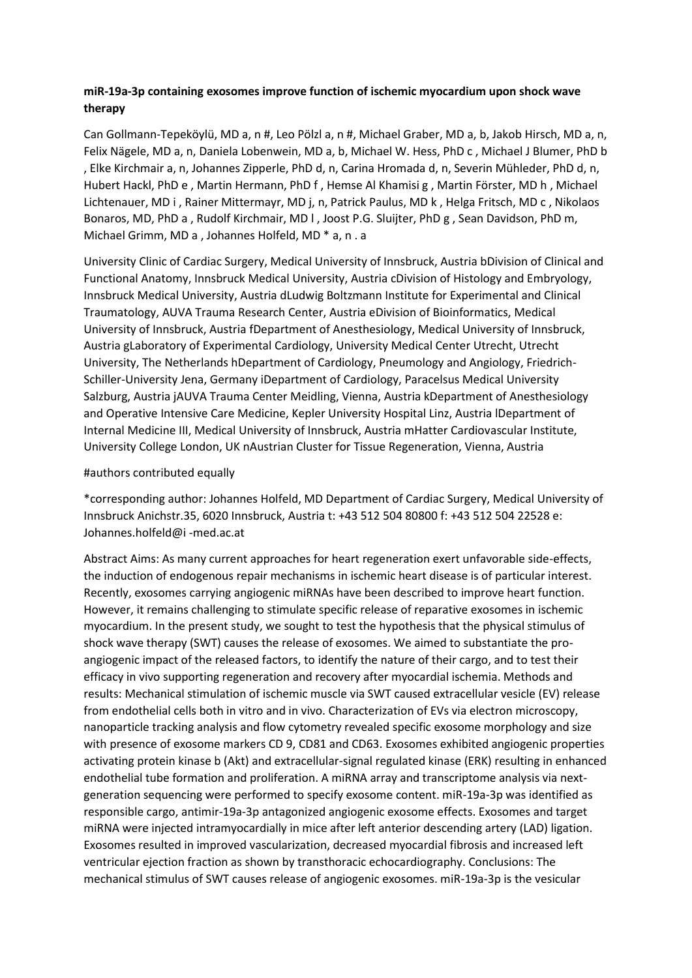# **miR-19a-3p containing exosomes improve function of ischemic myocardium upon shock wave therapy**

Can Gollmann-Tepeköylü, MD a, n #, Leo Pölzl a, n #, Michael Graber, MD a, b, Jakob Hirsch, MD a, n, Felix Nägele, MD a, n, Daniela Lobenwein, MD a, b, Michael W. Hess, PhD c , Michael J Blumer, PhD b , Elke Kirchmair a, n, Johannes Zipperle, PhD d, n, Carina Hromada d, n, Severin Mühleder, PhD d, n, Hubert Hackl, PhD e , Martin Hermann, PhD f , Hemse Al Khamisi g , Martin Förster, MD h , Michael Lichtenauer, MD i , Rainer Mittermayr, MD j, n, Patrick Paulus, MD k , Helga Fritsch, MD c , Nikolaos Bonaros, MD, PhD a , Rudolf Kirchmair, MD l , Joost P.G. Sluijter, PhD g , Sean Davidson, PhD m, Michael Grimm, MD a , Johannes Holfeld, MD \* a, n . a

University Clinic of Cardiac Surgery, Medical University of Innsbruck, Austria bDivision of Clinical and Functional Anatomy, Innsbruck Medical University, Austria cDivision of Histology and Embryology, Innsbruck Medical University, Austria dLudwig Boltzmann Institute for Experimental and Clinical Traumatology, AUVA Trauma Research Center, Austria eDivision of Bioinformatics, Medical University of Innsbruck, Austria fDepartment of Anesthesiology, Medical University of Innsbruck, Austria gLaboratory of Experimental Cardiology, University Medical Center Utrecht, Utrecht University, The Netherlands hDepartment of Cardiology, Pneumology and Angiology, Friedrich-Schiller-University Jena, Germany iDepartment of Cardiology, Paracelsus Medical University Salzburg, Austria jAUVA Trauma Center Meidling, Vienna, Austria kDepartment of Anesthesiology and Operative Intensive Care Medicine, Kepler University Hospital Linz, Austria lDepartment of Internal Medicine III, Medical University of Innsbruck, Austria mHatter Cardiovascular Institute, University College London, UK nAustrian Cluster for Tissue Regeneration, Vienna, Austria

### #authors contributed equally

\*corresponding author: Johannes Holfeld, MD Department of Cardiac Surgery, Medical University of Innsbruck Anichstr.35, 6020 Innsbruck, Austria t: +43 512 504 80800 f: +43 512 504 22528 e: Johannes.holfeld@i -med.ac.at

Abstract Aims: As many current approaches for heart regeneration exert unfavorable side-effects, the induction of endogenous repair mechanisms in ischemic heart disease is of particular interest. Recently, exosomes carrying angiogenic miRNAs have been described to improve heart function. However, it remains challenging to stimulate specific release of reparative exosomes in ischemic myocardium. In the present study, we sought to test the hypothesis that the physical stimulus of shock wave therapy (SWT) causes the release of exosomes. We aimed to substantiate the proangiogenic impact of the released factors, to identify the nature of their cargo, and to test their efficacy in vivo supporting regeneration and recovery after myocardial ischemia. Methods and results: Mechanical stimulation of ischemic muscle via SWT caused extracellular vesicle (EV) release from endothelial cells both in vitro and in vivo. Characterization of EVs via electron microscopy, nanoparticle tracking analysis and flow cytometry revealed specific exosome morphology and size with presence of exosome markers CD 9, CD81 and CD63. Exosomes exhibited angiogenic properties activating protein kinase b (Akt) and extracellular-signal regulated kinase (ERK) resulting in enhanced endothelial tube formation and proliferation. A miRNA array and transcriptome analysis via nextgeneration sequencing were performed to specify exosome content. miR-19a-3p was identified as responsible cargo, antimir-19a-3p antagonized angiogenic exosome effects. Exosomes and target miRNA were injected intramyocardially in mice after left anterior descending artery (LAD) ligation. Exosomes resulted in improved vascularization, decreased myocardial fibrosis and increased left ventricular ejection fraction as shown by transthoracic echocardiography. Conclusions: The mechanical stimulus of SWT causes release of angiogenic exosomes. miR-19a-3p is the vesicular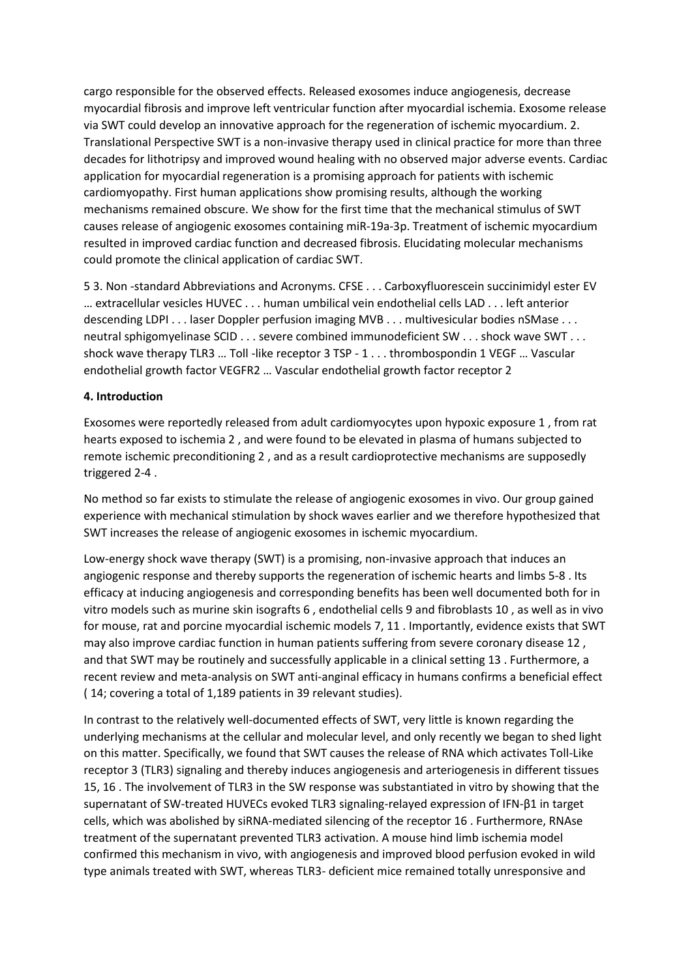cargo responsible for the observed effects. Released exosomes induce angiogenesis, decrease myocardial fibrosis and improve left ventricular function after myocardial ischemia. Exosome release via SWT could develop an innovative approach for the regeneration of ischemic myocardium. 2. Translational Perspective SWT is a non-invasive therapy used in clinical practice for more than three decades for lithotripsy and improved wound healing with no observed major adverse events. Cardiac application for myocardial regeneration is a promising approach for patients with ischemic cardiomyopathy. First human applications show promising results, although the working mechanisms remained obscure. We show for the first time that the mechanical stimulus of SWT causes release of angiogenic exosomes containing miR-19a-3p. Treatment of ischemic myocardium resulted in improved cardiac function and decreased fibrosis. Elucidating molecular mechanisms could promote the clinical application of cardiac SWT.

5 3. Non -standard Abbreviations and Acronyms. CFSE . . . Carboxyfluorescein succinimidyl ester EV … extracellular vesicles HUVEC . . . human umbilical vein endothelial cells LAD . . . left anterior descending LDPI . . . laser Doppler perfusion imaging MVB . . . multivesicular bodies nSMase . . . neutral sphigomyelinase SCID . . . severe combined immunodeficient SW . . . shock wave SWT . . . shock wave therapy TLR3 … Toll -like receptor 3 TSP - 1 . . . thrombospondin 1 VEGF … Vascular endothelial growth factor VEGFR2 … Vascular endothelial growth factor receptor 2

### **4. Introduction**

Exosomes were reportedly released from adult cardiomyocytes upon hypoxic exposure 1 , from rat hearts exposed to ischemia 2 , and were found to be elevated in plasma of humans subjected to remote ischemic preconditioning 2 , and as a result cardioprotective mechanisms are supposedly triggered 2-4 .

No method so far exists to stimulate the release of angiogenic exosomes in vivo. Our group gained experience with mechanical stimulation by shock waves earlier and we therefore hypothesized that SWT increases the release of angiogenic exosomes in ischemic myocardium.

Low-energy shock wave therapy (SWT) is a promising, non-invasive approach that induces an angiogenic response and thereby supports the regeneration of ischemic hearts and limbs 5-8 . Its efficacy at inducing angiogenesis and corresponding benefits has been well documented both for in vitro models such as murine skin isografts 6 , endothelial cells 9 and fibroblasts 10 , as well as in vivo for mouse, rat and porcine myocardial ischemic models 7, 11 . Importantly, evidence exists that SWT may also improve cardiac function in human patients suffering from severe coronary disease 12 , and that SWT may be routinely and successfully applicable in a clinical setting 13 . Furthermore, a recent review and meta-analysis on SWT anti-anginal efficacy in humans confirms a beneficial effect ( 14; covering a total of 1,189 patients in 39 relevant studies).

In contrast to the relatively well-documented effects of SWT, very little is known regarding the underlying mechanisms at the cellular and molecular level, and only recently we began to shed light on this matter. Specifically, we found that SWT causes the release of RNA which activates Toll-Like receptor 3 (TLR3) signaling and thereby induces angiogenesis and arteriogenesis in different tissues 15, 16 . The involvement of TLR3 in the SW response was substantiated in vitro by showing that the supernatant of SW-treated HUVECs evoked TLR3 signaling-relayed expression of IFN-β1 in target cells, which was abolished by siRNA-mediated silencing of the receptor 16 . Furthermore, RNAse treatment of the supernatant prevented TLR3 activation. A mouse hind limb ischemia model confirmed this mechanism in vivo, with angiogenesis and improved blood perfusion evoked in wild type animals treated with SWT, whereas TLR3- deficient mice remained totally unresponsive and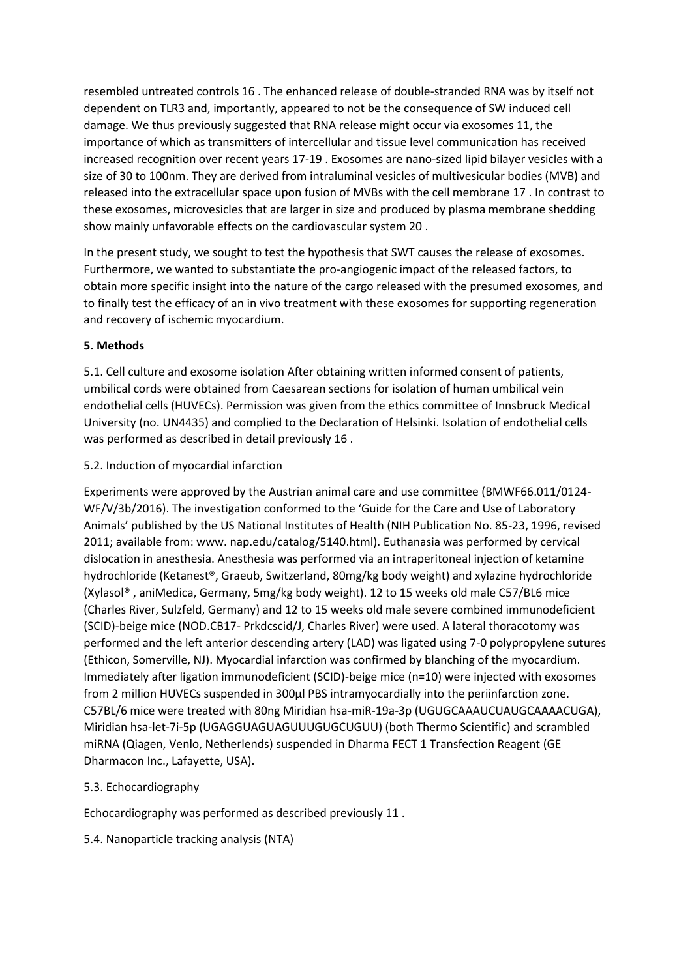resembled untreated controls 16 . The enhanced release of double-stranded RNA was by itself not dependent on TLR3 and, importantly, appeared to not be the consequence of SW induced cell damage. We thus previously suggested that RNA release might occur via exosomes 11, the importance of which as transmitters of intercellular and tissue level communication has received increased recognition over recent years 17-19 . Exosomes are nano-sized lipid bilayer vesicles with a size of 30 to 100nm. They are derived from intraluminal vesicles of multivesicular bodies (MVB) and released into the extracellular space upon fusion of MVBs with the cell membrane 17 . In contrast to these exosomes, microvesicles that are larger in size and produced by plasma membrane shedding show mainly unfavorable effects on the cardiovascular system 20 .

In the present study, we sought to test the hypothesis that SWT causes the release of exosomes. Furthermore, we wanted to substantiate the pro-angiogenic impact of the released factors, to obtain more specific insight into the nature of the cargo released with the presumed exosomes, and to finally test the efficacy of an in vivo treatment with these exosomes for supporting regeneration and recovery of ischemic myocardium.

# **5. Methods**

5.1. Cell culture and exosome isolation After obtaining written informed consent of patients, umbilical cords were obtained from Caesarean sections for isolation of human umbilical vein endothelial cells (HUVECs). Permission was given from the ethics committee of Innsbruck Medical University (no. UN4435) and complied to the Declaration of Helsinki. Isolation of endothelial cells was performed as described in detail previously 16 .

# 5.2. Induction of myocardial infarction

Experiments were approved by the Austrian animal care and use committee (BMWF66.011/0124- WF/V/3b/2016). The investigation conformed to the 'Guide for the Care and Use of Laboratory Animals' published by the US National Institutes of Health (NIH Publication No. 85-23, 1996, revised 2011; available from: www. nap.edu/catalog/5140.html). Euthanasia was performed by cervical dislocation in anesthesia. Anesthesia was performed via an intraperitoneal injection of ketamine hydrochloride (Ketanest®, Graeub, Switzerland, 80mg/kg body weight) and xylazine hydrochloride (Xylasol® , aniMedica, Germany, 5mg/kg body weight). 12 to 15 weeks old male C57/BL6 mice (Charles River, Sulzfeld, Germany) and 12 to 15 weeks old male severe combined immunodeficient (SCID)-beige mice (NOD.CB17- Prkdcscid/J, Charles River) were used. A lateral thoracotomy was performed and the left anterior descending artery (LAD) was ligated using 7-0 polypropylene sutures (Ethicon, Somerville, NJ). Myocardial infarction was confirmed by blanching of the myocardium. Immediately after ligation immunodeficient (SCID)-beige mice (n=10) were injected with exosomes from 2 million HUVECs suspended in 300µl PBS intramyocardially into the periinfarction zone. C57BL/6 mice were treated with 80ng Miridian hsa-miR-19a-3p (UGUGCAAAUCUAUGCAAAACUGA), Miridian hsa-let-7i-5p (UGAGGUAGUAGUUUGUGCUGUU) (both Thermo Scientific) and scrambled miRNA (Qiagen, Venlo, Netherlends) suspended in Dharma FECT 1 Transfection Reagent (GE Dharmacon Inc., Lafayette, USA).

# 5.3. Echocardiography

Echocardiography was performed as described previously 11 .

5.4. Nanoparticle tracking analysis (NTA)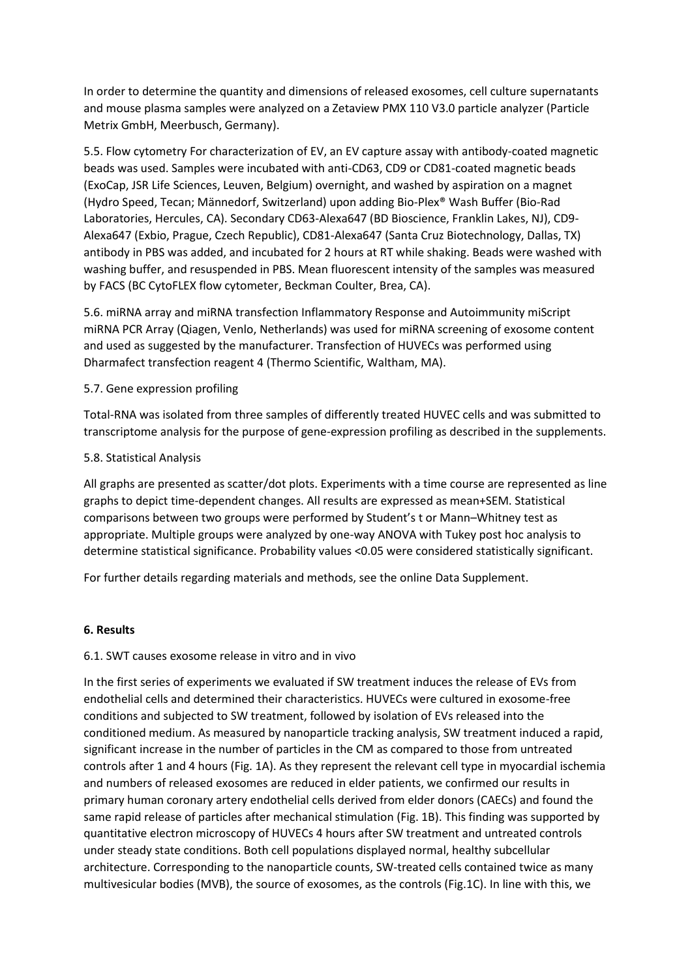In order to determine the quantity and dimensions of released exosomes, cell culture supernatants and mouse plasma samples were analyzed on a Zetaview PMX 110 V3.0 particle analyzer (Particle Metrix GmbH, Meerbusch, Germany).

5.5. Flow cytometry For characterization of EV, an EV capture assay with antibody-coated magnetic beads was used. Samples were incubated with anti-CD63, CD9 or CD81-coated magnetic beads (ExoCap, JSR Life Sciences, Leuven, Belgium) overnight, and washed by aspiration on a magnet (Hydro Speed, Tecan; Männedorf, Switzerland) upon adding Bio-Plex® Wash Buffer (Bio-Rad Laboratories, Hercules, CA). Secondary CD63-Alexa647 (BD Bioscience, Franklin Lakes, NJ), CD9- Alexa647 (Exbio, Prague, Czech Republic), CD81-Alexa647 (Santa Cruz Biotechnology, Dallas, TX) antibody in PBS was added, and incubated for 2 hours at RT while shaking. Beads were washed with washing buffer, and resuspended in PBS. Mean fluorescent intensity of the samples was measured by FACS (BC CytoFLEX flow cytometer, Beckman Coulter, Brea, CA).

5.6. miRNA array and miRNA transfection Inflammatory Response and Autoimmunity miScript miRNA PCR Array (Qiagen, Venlo, Netherlands) was used for miRNA screening of exosome content and used as suggested by the manufacturer. Transfection of HUVECs was performed using Dharmafect transfection reagent 4 (Thermo Scientific, Waltham, MA).

### 5.7. Gene expression profiling

Total-RNA was isolated from three samples of differently treated HUVEC cells and was submitted to transcriptome analysis for the purpose of gene-expression profiling as described in the supplements.

### 5.8. Statistical Analysis

All graphs are presented as scatter/dot plots. Experiments with a time course are represented as line graphs to depict time-dependent changes. All results are expressed as mean+SEM. Statistical comparisons between two groups were performed by Student's t or Mann–Whitney test as appropriate. Multiple groups were analyzed by one-way ANOVA with Tukey post hoc analysis to determine statistical significance. Probability values <0.05 were considered statistically significant.

For further details regarding materials and methods, see the online Data Supplement.

#### **6. Results**

#### 6.1. SWT causes exosome release in vitro and in vivo

In the first series of experiments we evaluated if SW treatment induces the release of EVs from endothelial cells and determined their characteristics. HUVECs were cultured in exosome-free conditions and subjected to SW treatment, followed by isolation of EVs released into the conditioned medium. As measured by nanoparticle tracking analysis, SW treatment induced a rapid, significant increase in the number of particles in the CM as compared to those from untreated controls after 1 and 4 hours (Fig. 1A). As they represent the relevant cell type in myocardial ischemia and numbers of released exosomes are reduced in elder patients, we confirmed our results in primary human coronary artery endothelial cells derived from elder donors (CAECs) and found the same rapid release of particles after mechanical stimulation (Fig. 1B). This finding was supported by quantitative electron microscopy of HUVECs 4 hours after SW treatment and untreated controls under steady state conditions. Both cell populations displayed normal, healthy subcellular architecture. Corresponding to the nanoparticle counts, SW-treated cells contained twice as many multivesicular bodies (MVB), the source of exosomes, as the controls (Fig.1C). In line with this, we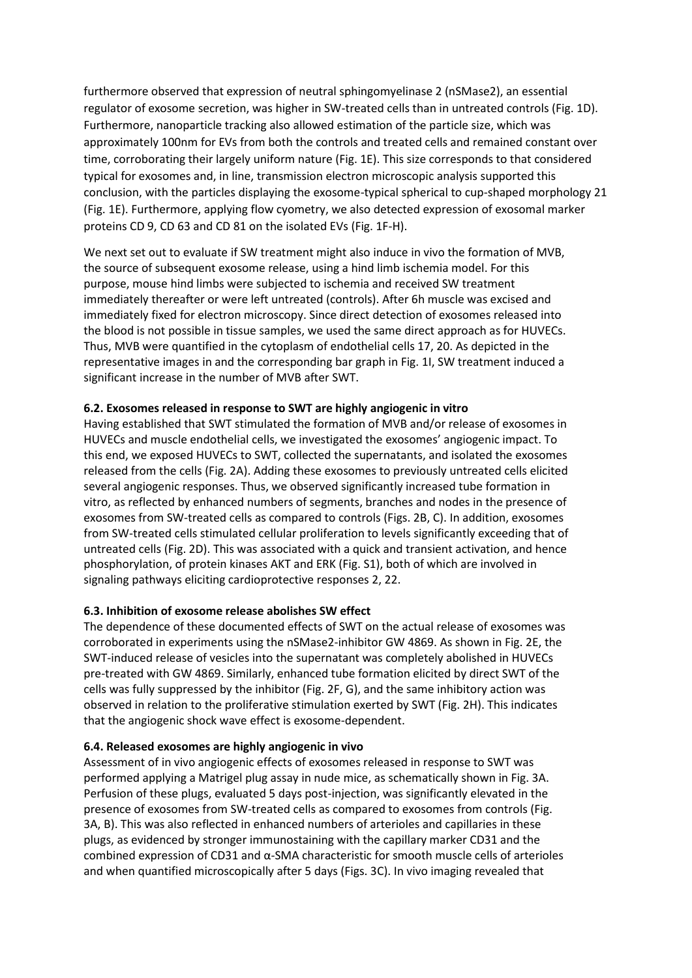furthermore observed that expression of neutral sphingomyelinase 2 (nSMase2), an essential regulator of exosome secretion, was higher in SW-treated cells than in untreated controls (Fig. 1D). Furthermore, nanoparticle tracking also allowed estimation of the particle size, which was approximately 100nm for EVs from both the controls and treated cells and remained constant over time, corroborating their largely uniform nature (Fig. 1E). This size corresponds to that considered typical for exosomes and, in line, transmission electron microscopic analysis supported this conclusion, with the particles displaying the exosome-typical spherical to cup-shaped morphology 21 (Fig. 1E). Furthermore, applying flow cyometry, we also detected expression of exosomal marker proteins CD 9, CD 63 and CD 81 on the isolated EVs (Fig. 1F-H).

We next set out to evaluate if SW treatment might also induce in vivo the formation of MVB, the source of subsequent exosome release, using a hind limb ischemia model. For this purpose, mouse hind limbs were subjected to ischemia and received SW treatment immediately thereafter or were left untreated (controls). After 6h muscle was excised and immediately fixed for electron microscopy. Since direct detection of exosomes released into the blood is not possible in tissue samples, we used the same direct approach as for HUVECs. Thus, MVB were quantified in the cytoplasm of endothelial cells 17, 20. As depicted in the representative images in and the corresponding bar graph in Fig. 1I, SW treatment induced a significant increase in the number of MVB after SWT.

### **6.2. Exosomes released in response to SWT are highly angiogenic in vitro**

Having established that SWT stimulated the formation of MVB and/or release of exosomes in HUVECs and muscle endothelial cells, we investigated the exosomes' angiogenic impact. To this end, we exposed HUVECs to SWT, collected the supernatants, and isolated the exosomes released from the cells (Fig. 2A). Adding these exosomes to previously untreated cells elicited several angiogenic responses. Thus, we observed significantly increased tube formation in vitro, as reflected by enhanced numbers of segments, branches and nodes in the presence of exosomes from SW-treated cells as compared to controls (Figs. 2B, C). In addition, exosomes from SW-treated cells stimulated cellular proliferation to levels significantly exceeding that of untreated cells (Fig. 2D). This was associated with a quick and transient activation, and hence phosphorylation, of protein kinases AKT and ERK (Fig. S1), both of which are involved in signaling pathways eliciting cardioprotective responses 2, 22.

# **6.3. Inhibition of exosome release abolishes SW effect**

The dependence of these documented effects of SWT on the actual release of exosomes was corroborated in experiments using the nSMase2-inhibitor GW 4869. As shown in Fig. 2E, the SWT-induced release of vesicles into the supernatant was completely abolished in HUVECs pre-treated with GW 4869. Similarly, enhanced tube formation elicited by direct SWT of the cells was fully suppressed by the inhibitor (Fig. 2F, G), and the same inhibitory action was observed in relation to the proliferative stimulation exerted by SWT (Fig. 2H). This indicates that the angiogenic shock wave effect is exosome-dependent.

# **6.4. Released exosomes are highly angiogenic in vivo**

Assessment of in vivo angiogenic effects of exosomes released in response to SWT was performed applying a Matrigel plug assay in nude mice, as schematically shown in Fig. 3A. Perfusion of these plugs, evaluated 5 days post-injection, was significantly elevated in the presence of exosomes from SW-treated cells as compared to exosomes from controls (Fig. 3A, B). This was also reflected in enhanced numbers of arterioles and capillaries in these plugs, as evidenced by stronger immunostaining with the capillary marker CD31 and the combined expression of CD31 and α-SMA characteristic for smooth muscle cells of arterioles and when quantified microscopically after 5 days (Figs. 3C). In vivo imaging revealed that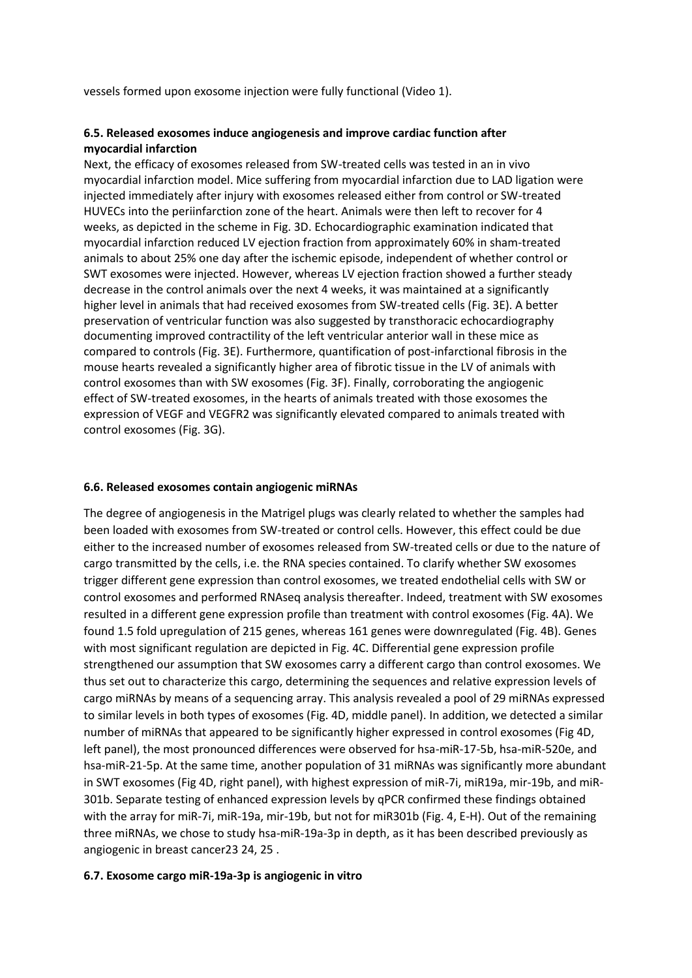vessels formed upon exosome injection were fully functional (Video 1).

### **6.5. Released exosomes induce angiogenesis and improve cardiac function after myocardial infarction**

Next, the efficacy of exosomes released from SW-treated cells was tested in an in vivo myocardial infarction model. Mice suffering from myocardial infarction due to LAD ligation were injected immediately after injury with exosomes released either from control or SW-treated HUVECs into the periinfarction zone of the heart. Animals were then left to recover for 4 weeks, as depicted in the scheme in Fig. 3D. Echocardiographic examination indicated that myocardial infarction reduced LV ejection fraction from approximately 60% in sham-treated animals to about 25% one day after the ischemic episode, independent of whether control or SWT exosomes were injected. However, whereas LV ejection fraction showed a further steady decrease in the control animals over the next 4 weeks, it was maintained at a significantly higher level in animals that had received exosomes from SW-treated cells (Fig. 3E). A better preservation of ventricular function was also suggested by transthoracic echocardiography documenting improved contractility of the left ventricular anterior wall in these mice as compared to controls (Fig. 3E). Furthermore, quantification of post-infarctional fibrosis in the mouse hearts revealed a significantly higher area of fibrotic tissue in the LV of animals with control exosomes than with SW exosomes (Fig. 3F). Finally, corroborating the angiogenic effect of SW-treated exosomes, in the hearts of animals treated with those exosomes the expression of VEGF and VEGFR2 was significantly elevated compared to animals treated with control exosomes (Fig. 3G).

#### **6.6. Released exosomes contain angiogenic miRNAs**

The degree of angiogenesis in the Matrigel plugs was clearly related to whether the samples had been loaded with exosomes from SW-treated or control cells. However, this effect could be due either to the increased number of exosomes released from SW-treated cells or due to the nature of cargo transmitted by the cells, i.e. the RNA species contained. To clarify whether SW exosomes trigger different gene expression than control exosomes, we treated endothelial cells with SW or control exosomes and performed RNAseq analysis thereafter. Indeed, treatment with SW exosomes resulted in a different gene expression profile than treatment with control exosomes (Fig. 4A). We found 1.5 fold upregulation of 215 genes, whereas 161 genes were downregulated (Fig. 4B). Genes with most significant regulation are depicted in Fig. 4C. Differential gene expression profile strengthened our assumption that SW exosomes carry a different cargo than control exosomes. We thus set out to characterize this cargo, determining the sequences and relative expression levels of cargo miRNAs by means of a sequencing array. This analysis revealed a pool of 29 miRNAs expressed to similar levels in both types of exosomes (Fig. 4D, middle panel). In addition, we detected a similar number of miRNAs that appeared to be significantly higher expressed in control exosomes (Fig 4D, left panel), the most pronounced differences were observed for hsa-miR-17-5b, hsa-miR-520e, and hsa-miR-21-5p. At the same time, another population of 31 miRNAs was significantly more abundant in SWT exosomes (Fig 4D, right panel), with highest expression of miR-7i, miR19a, mir-19b, and miR-301b. Separate testing of enhanced expression levels by qPCR confirmed these findings obtained with the array for miR-7i, miR-19a, mir-19b, but not for miR301b (Fig. 4, E-H). Out of the remaining three miRNAs, we chose to study hsa-miR-19a-3p in depth, as it has been described previously as angiogenic in breast cancer23 24, 25 .

#### **6.7. Exosome cargo miR-19a-3p is angiogenic in vitro**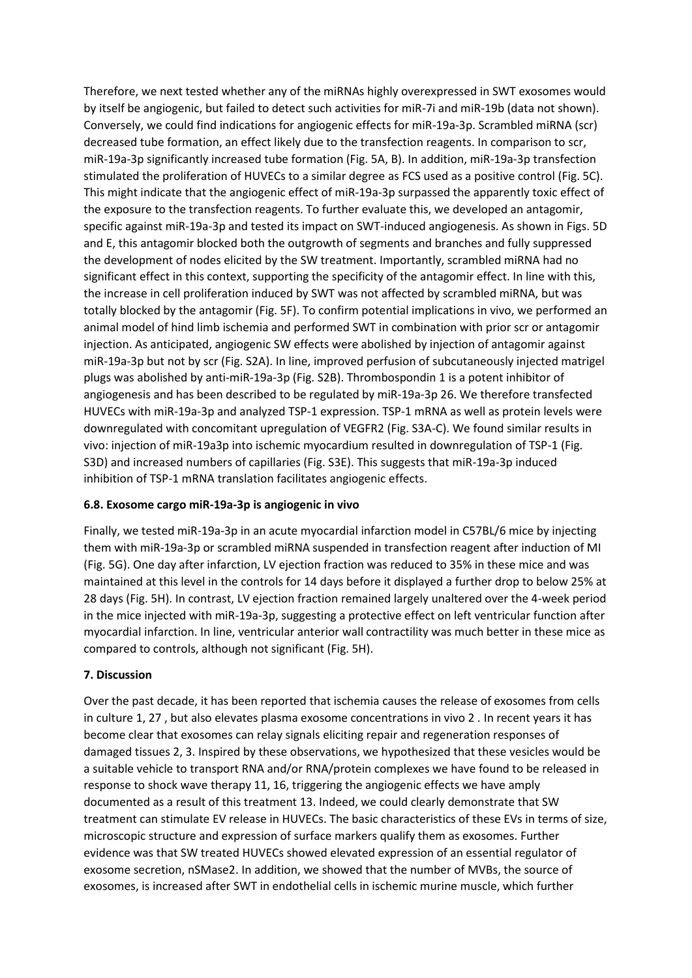Therefore, we next tested whether any of the miRNAs highly overexpressed in SWT exosomes would by itself be angiogenic, but failed to detect such activities for miR-7i and miR-19b (data not shown). Conversely, we could find indications for angiogenic effects for miR-19a-3p. Scrambled miRNA (scr) decreased tube formation, an effect likely due to the transfection reagents. In comparison to scr, miR-19a-3p significantly increased tube formation (Fig. 5A, B). In addition, miR-19a-3p transfection stimulated the proliferation of HUVECs to a similar degree as FCS used as a positive control (Fig. 5C). This might indicate that the angiogenic effect of miR-19a-3p surpassed the apparently toxic effect of the exposure to the transfection reagents. To further evaluate this, we developed an antagomir, specific against miR-19a-3p and tested its impact on SWT-induced angiogenesis. As shown in Figs. 5D and E, this antagomir blocked both the outgrowth of segments and branches and fully suppressed the development of nodes elicited by the SW treatment. Importantly, scrambled miRNA had no significant effect in this context, supporting the specificity of the antagomir effect. In line with this, the increase in cell proliferation induced by SWT was not affected by scrambled miRNA, but was totally blocked by the antagomir (Fig. 5F). To confirm potential implications in vivo, we performed an animal model of hind limb ischemia and performed SWT in combination with prior scr or antagomir injection. As anticipated, angiogenic SW effects were abolished by injection of antagomir against miR-19a-3p but not by scr (Fig. S2A). In line, improved perfusion of subcutaneously injected matrigel plugs was abolished by anti-miR-19a-3p (Fig. S2B). Thrombospondin 1 is a potent inhibitor of angiogenesis and has been described to be regulated by miR-19a-3p 26. We therefore transfected HUVECs with miR-19a-3p and analyzed TSP-1 expression. TSP-1 mRNA as well as protein levels were downregulated with concomitant upregulation of VEGFR2 (Fig. S3A-C). We found similar results in vivo: injection of miR-19a3p into ischemic myocardium resulted in downregulation of TSP-1 (Fig. S3D) and increased numbers of capillaries (Fig. S3E). This suggests that miR-19a-3p induced inhibition of TSP-1 mRNA translation facilitates angiogenic effects.

# **6.8. Exosome cargo miR-19a-3p is angiogenic in vivo**

Finally, we tested miR-19a-3p in an acute myocardial infarction model in C57BL/6 mice by injecting them with miR-19a-3p or scrambled miRNA suspended in transfection reagent after induction of MI (Fig. 5G). One day after infarction, LV ejection fraction was reduced to 35% in these mice and was maintained at this level in the controls for 14 days before it displayed a further drop to below 25% at 28 days (Fig. 5H). In contrast, LV ejection fraction remained largely unaltered over the 4-week period in the mice injected with miR-19a-3p, suggesting a protective effect on left ventricular function after myocardial infarction. In line, ventricular anterior wall contractility was much better in these mice as compared to controls, although not significant (Fig. 5H).

# **7. Discussion**

Over the past decade, it has been reported that ischemia causes the release of exosomes from cells in culture 1, 27 , but also elevates plasma exosome concentrations in vivo 2 . In recent years it has become clear that exosomes can relay signals eliciting repair and regeneration responses of damaged tissues 2, 3. Inspired by these observations, we hypothesized that these vesicles would be a suitable vehicle to transport RNA and/or RNA/protein complexes we have found to be released in response to shock wave therapy 11, 16, triggering the angiogenic effects we have amply documented as a result of this treatment 13. Indeed, we could clearly demonstrate that SW treatment can stimulate EV release in HUVECs. The basic characteristics of these EVs in terms of size, microscopic structure and expression of surface markers qualify them as exosomes. Further evidence was that SW treated HUVECs showed elevated expression of an essential regulator of exosome secretion, nSMase2. In addition, we showed that the number of MVBs, the source of exosomes, is increased after SWT in endothelial cells in ischemic murine muscle, which further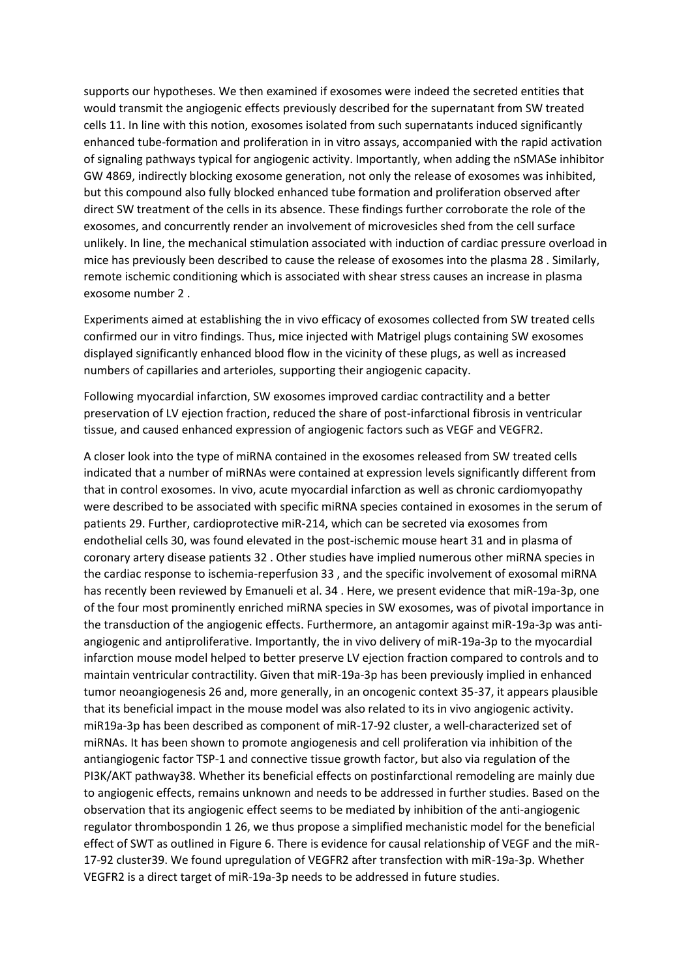supports our hypotheses. We then examined if exosomes were indeed the secreted entities that would transmit the angiogenic effects previously described for the supernatant from SW treated cells 11. In line with this notion, exosomes isolated from such supernatants induced significantly enhanced tube-formation and proliferation in in vitro assays, accompanied with the rapid activation of signaling pathways typical for angiogenic activity. Importantly, when adding the nSMASe inhibitor GW 4869, indirectly blocking exosome generation, not only the release of exosomes was inhibited, but this compound also fully blocked enhanced tube formation and proliferation observed after direct SW treatment of the cells in its absence. These findings further corroborate the role of the exosomes, and concurrently render an involvement of microvesicles shed from the cell surface unlikely. In line, the mechanical stimulation associated with induction of cardiac pressure overload in mice has previously been described to cause the release of exosomes into the plasma 28 . Similarly, remote ischemic conditioning which is associated with shear stress causes an increase in plasma exosome number 2 .

Experiments aimed at establishing the in vivo efficacy of exosomes collected from SW treated cells confirmed our in vitro findings. Thus, mice injected with Matrigel plugs containing SW exosomes displayed significantly enhanced blood flow in the vicinity of these plugs, as well as increased numbers of capillaries and arterioles, supporting their angiogenic capacity.

Following myocardial infarction, SW exosomes improved cardiac contractility and a better preservation of LV ejection fraction, reduced the share of post-infarctional fibrosis in ventricular tissue, and caused enhanced expression of angiogenic factors such as VEGF and VEGFR2.

A closer look into the type of miRNA contained in the exosomes released from SW treated cells indicated that a number of miRNAs were contained at expression levels significantly different from that in control exosomes. In vivo, acute myocardial infarction as well as chronic cardiomyopathy were described to be associated with specific miRNA species contained in exosomes in the serum of patients 29. Further, cardioprotective miR-214, which can be secreted via exosomes from endothelial cells 30, was found elevated in the post-ischemic mouse heart 31 and in plasma of coronary artery disease patients 32 . Other studies have implied numerous other miRNA species in the cardiac response to ischemia-reperfusion 33 , and the specific involvement of exosomal miRNA has recently been reviewed by Emanueli et al. 34 . Here, we present evidence that miR-19a-3p, one of the four most prominently enriched miRNA species in SW exosomes, was of pivotal importance in the transduction of the angiogenic effects. Furthermore, an antagomir against miR-19a-3p was antiangiogenic and antiproliferative. Importantly, the in vivo delivery of miR-19a-3p to the myocardial infarction mouse model helped to better preserve LV ejection fraction compared to controls and to maintain ventricular contractility. Given that miR-19a-3p has been previously implied in enhanced tumor neoangiogenesis 26 and, more generally, in an oncogenic context 35-37, it appears plausible that its beneficial impact in the mouse model was also related to its in vivo angiogenic activity. miR19a-3p has been described as component of miR-17-92 cluster, a well-characterized set of miRNAs. It has been shown to promote angiogenesis and cell proliferation via inhibition of the antiangiogenic factor TSP-1 and connective tissue growth factor, but also via regulation of the PI3K/AKT pathway38. Whether its beneficial effects on postinfarctional remodeling are mainly due to angiogenic effects, remains unknown and needs to be addressed in further studies. Based on the observation that its angiogenic effect seems to be mediated by inhibition of the anti-angiogenic regulator thrombospondin 1 26, we thus propose a simplified mechanistic model for the beneficial effect of SWT as outlined in Figure 6. There is evidence for causal relationship of VEGF and the miR-17-92 cluster39. We found upregulation of VEGFR2 after transfection with miR-19a-3p. Whether VEGFR2 is a direct target of miR-19a-3p needs to be addressed in future studies.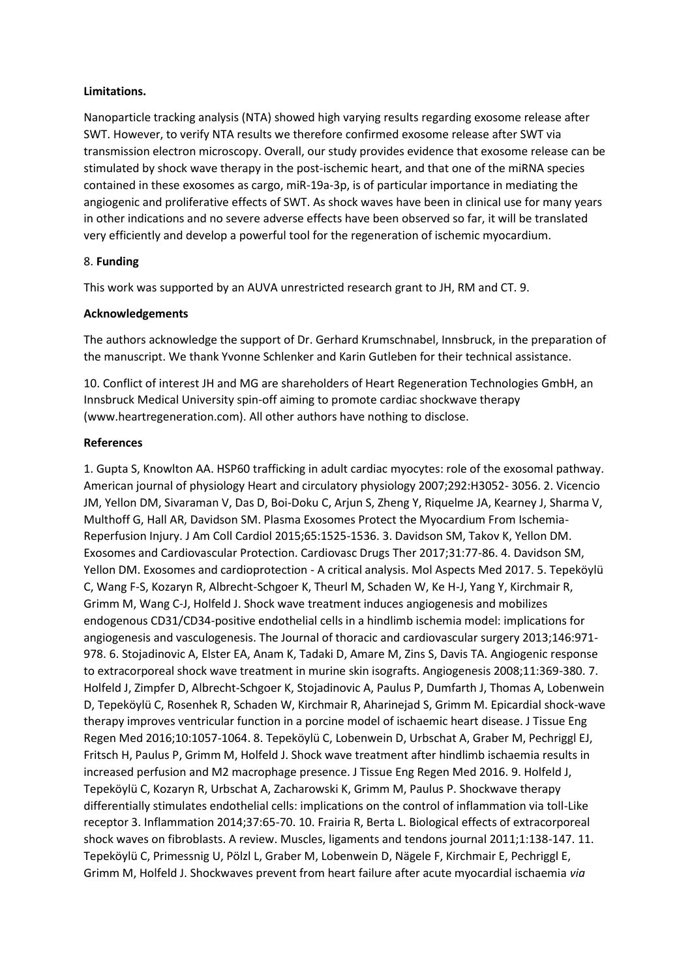#### **Limitations.**

Nanoparticle tracking analysis (NTA) showed high varying results regarding exosome release after SWT. However, to verify NTA results we therefore confirmed exosome release after SWT via transmission electron microscopy. Overall, our study provides evidence that exosome release can be stimulated by shock wave therapy in the post-ischemic heart, and that one of the miRNA species contained in these exosomes as cargo, miR-19a-3p, is of particular importance in mediating the angiogenic and proliferative effects of SWT. As shock waves have been in clinical use for many years in other indications and no severe adverse effects have been observed so far, it will be translated very efficiently and develop a powerful tool for the regeneration of ischemic myocardium.

### 8. **Funding**

This work was supported by an AUVA unrestricted research grant to JH, RM and CT. 9.

### **Acknowledgements**

The authors acknowledge the support of Dr. Gerhard Krumschnabel, Innsbruck, in the preparation of the manuscript. We thank Yvonne Schlenker and Karin Gutleben for their technical assistance.

10. Conflict of interest JH and MG are shareholders of Heart Regeneration Technologies GmbH, an Innsbruck Medical University spin-off aiming to promote cardiac shockwave therapy (www.heartregeneration.com). All other authors have nothing to disclose.

# **References**

1. Gupta S, Knowlton AA. HSP60 trafficking in adult cardiac myocytes: role of the exosomal pathway. American journal of physiology Heart and circulatory physiology 2007;292:H3052- 3056. 2. Vicencio JM, Yellon DM, Sivaraman V, Das D, Boi-Doku C, Arjun S, Zheng Y, Riquelme JA, Kearney J, Sharma V, Multhoff G, Hall AR, Davidson SM. Plasma Exosomes Protect the Myocardium From Ischemia-Reperfusion Injury. J Am Coll Cardiol 2015;65:1525-1536. 3. Davidson SM, Takov K, Yellon DM. Exosomes and Cardiovascular Protection. Cardiovasc Drugs Ther 2017;31:77-86. 4. Davidson SM, Yellon DM. Exosomes and cardioprotection - A critical analysis. Mol Aspects Med 2017. 5. Tepeköylü C, Wang F-S, Kozaryn R, Albrecht-Schgoer K, Theurl M, Schaden W, Ke H-J, Yang Y, Kirchmair R, Grimm M, Wang C-J, Holfeld J. Shock wave treatment induces angiogenesis and mobilizes endogenous CD31/CD34-positive endothelial cells in a hindlimb ischemia model: implications for angiogenesis and vasculogenesis. The Journal of thoracic and cardiovascular surgery 2013;146:971- 978. 6. Stojadinovic A, Elster EA, Anam K, Tadaki D, Amare M, Zins S, Davis TA. Angiogenic response to extracorporeal shock wave treatment in murine skin isografts. Angiogenesis 2008;11:369-380. 7. Holfeld J, Zimpfer D, Albrecht-Schgoer K, Stojadinovic A, Paulus P, Dumfarth J, Thomas A, Lobenwein D, Tepeköylü C, Rosenhek R, Schaden W, Kirchmair R, Aharinejad S, Grimm M. Epicardial shock-wave therapy improves ventricular function in a porcine model of ischaemic heart disease. J Tissue Eng Regen Med 2016;10:1057-1064. 8. Tepeköylü C, Lobenwein D, Urbschat A, Graber M, Pechriggl EJ, Fritsch H, Paulus P, Grimm M, Holfeld J. Shock wave treatment after hindlimb ischaemia results in increased perfusion and M2 macrophage presence. J Tissue Eng Regen Med 2016. 9. Holfeld J, Tepeköylü C, Kozaryn R, Urbschat A, Zacharowski K, Grimm M, Paulus P. Shockwave therapy differentially stimulates endothelial cells: implications on the control of inflammation via toll-Like receptor 3. Inflammation 2014;37:65-70. 10. Frairia R, Berta L. Biological effects of extracorporeal shock waves on fibroblasts. A review. Muscles, ligaments and tendons journal 2011;1:138-147. 11. Tepeköylü C, Primessnig U, Pölzl L, Graber M, Lobenwein D, Nägele F, Kirchmair E, Pechriggl E, Grimm M, Holfeld J. Shockwaves prevent from heart failure after acute myocardial ischaemia *via*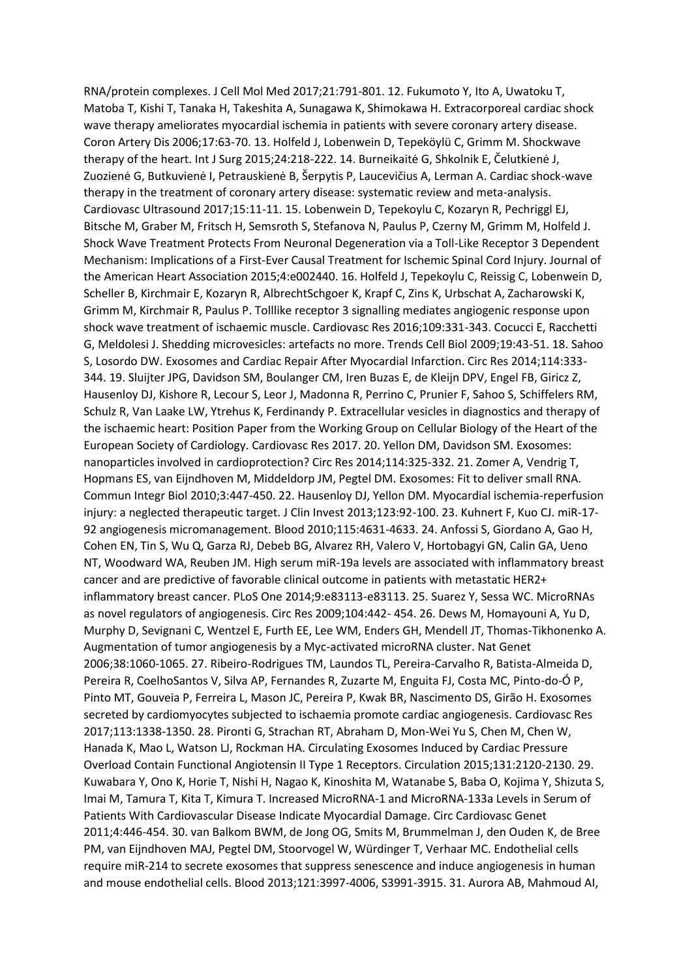RNA/protein complexes. J Cell Mol Med 2017;21:791-801. 12. Fukumoto Y, Ito A, Uwatoku T, Matoba T, Kishi T, Tanaka H, Takeshita A, Sunagawa K, Shimokawa H. Extracorporeal cardiac shock wave therapy ameliorates myocardial ischemia in patients with severe coronary artery disease. Coron Artery Dis 2006;17:63-70. 13. Holfeld J, Lobenwein D, Tepeköylü C, Grimm M. Shockwave therapy of the heart. Int J Surg 2015;24:218-222. 14. Burneikaitė G, Shkolnik E, Čelutkienė J, Zuozienė G, Butkuvienė I, Petrauskienė B, Šerpytis P, Laucevičius A, Lerman A. Cardiac shock-wave therapy in the treatment of coronary artery disease: systematic review and meta-analysis. Cardiovasc Ultrasound 2017;15:11-11. 15. Lobenwein D, Tepekoylu C, Kozaryn R, Pechriggl EJ, Bitsche M, Graber M, Fritsch H, Semsroth S, Stefanova N, Paulus P, Czerny M, Grimm M, Holfeld J. Shock Wave Treatment Protects From Neuronal Degeneration via a Toll-Like Receptor 3 Dependent Mechanism: Implications of a First-Ever Causal Treatment for Ischemic Spinal Cord Injury. Journal of the American Heart Association 2015;4:e002440. 16. Holfeld J, Tepekoylu C, Reissig C, Lobenwein D, Scheller B, Kirchmair E, Kozaryn R, AlbrechtSchgoer K, Krapf C, Zins K, Urbschat A, Zacharowski K, Grimm M, Kirchmair R, Paulus P. Tolllike receptor 3 signalling mediates angiogenic response upon shock wave treatment of ischaemic muscle. Cardiovasc Res 2016;109:331-343. Cocucci E, Racchetti G, Meldolesi J. Shedding microvesicles: artefacts no more. Trends Cell Biol 2009;19:43-51. 18. Sahoo S, Losordo DW. Exosomes and Cardiac Repair After Myocardial Infarction. Circ Res 2014;114:333- 344. 19. Sluijter JPG, Davidson SM, Boulanger CM, Iren Buzas E, de Kleijn DPV, Engel FB, Giricz Z, Hausenloy DJ, Kishore R, Lecour S, Leor J, Madonna R, Perrino C, Prunier F, Sahoo S, Schiffelers RM, Schulz R, Van Laake LW, Ytrehus K, Ferdinandy P. Extracellular vesicles in diagnostics and therapy of the ischaemic heart: Position Paper from the Working Group on Cellular Biology of the Heart of the European Society of Cardiology. Cardiovasc Res 2017. 20. Yellon DM, Davidson SM. Exosomes: nanoparticles involved in cardioprotection? Circ Res 2014;114:325-332. 21. Zomer A, Vendrig T, Hopmans ES, van Eijndhoven M, Middeldorp JM, Pegtel DM. Exosomes: Fit to deliver small RNA. Commun Integr Biol 2010;3:447-450. 22. Hausenloy DJ, Yellon DM. Myocardial ischemia-reperfusion injury: a neglected therapeutic target. J Clin Invest 2013;123:92-100. 23. Kuhnert F, Kuo CJ. miR-17- 92 angiogenesis micromanagement. Blood 2010;115:4631-4633. 24. Anfossi S, Giordano A, Gao H, Cohen EN, Tin S, Wu Q, Garza RJ, Debeb BG, Alvarez RH, Valero V, Hortobagyi GN, Calin GA, Ueno NT, Woodward WA, Reuben JM. High serum miR-19a levels are associated with inflammatory breast cancer and are predictive of favorable clinical outcome in patients with metastatic HER2+ inflammatory breast cancer. PLoS One 2014;9:e83113-e83113. 25. Suarez Y, Sessa WC. MicroRNAs as novel regulators of angiogenesis. Circ Res 2009;104:442- 454. 26. Dews M, Homayouni A, Yu D, Murphy D, Sevignani C, Wentzel E, Furth EE, Lee WM, Enders GH, Mendell JT, Thomas-Tikhonenko A. Augmentation of tumor angiogenesis by a Myc-activated microRNA cluster. Nat Genet 2006;38:1060-1065. 27. Ribeiro-Rodrigues TM, Laundos TL, Pereira-Carvalho R, Batista-Almeida D, Pereira R, CoelhoSantos V, Silva AP, Fernandes R, Zuzarte M, Enguita FJ, Costa MC, Pinto-do-Ó P, Pinto MT, Gouveia P, Ferreira L, Mason JC, Pereira P, Kwak BR, Nascimento DS, Girão H. Exosomes secreted by cardiomyocytes subjected to ischaemia promote cardiac angiogenesis. Cardiovasc Res 2017;113:1338-1350. 28. Pironti G, Strachan RT, Abraham D, Mon-Wei Yu S, Chen M, Chen W, Hanada K, Mao L, Watson LJ, Rockman HA. Circulating Exosomes Induced by Cardiac Pressure Overload Contain Functional Angiotensin II Type 1 Receptors. Circulation 2015;131:2120-2130. 29. Kuwabara Y, Ono K, Horie T, Nishi H, Nagao K, Kinoshita M, Watanabe S, Baba O, Kojima Y, Shizuta S, Imai M, Tamura T, Kita T, Kimura T. Increased MicroRNA-1 and MicroRNA-133a Levels in Serum of Patients With Cardiovascular Disease Indicate Myocardial Damage. Circ Cardiovasc Genet 2011;4:446-454. 30. van Balkom BWM, de Jong OG, Smits M, Brummelman J, den Ouden K, de Bree PM, van Eijndhoven MAJ, Pegtel DM, Stoorvogel W, Würdinger T, Verhaar MC. Endothelial cells require miR-214 to secrete exosomes that suppress senescence and induce angiogenesis in human and mouse endothelial cells. Blood 2013;121:3997-4006, S3991-3915. 31. Aurora AB, Mahmoud AI,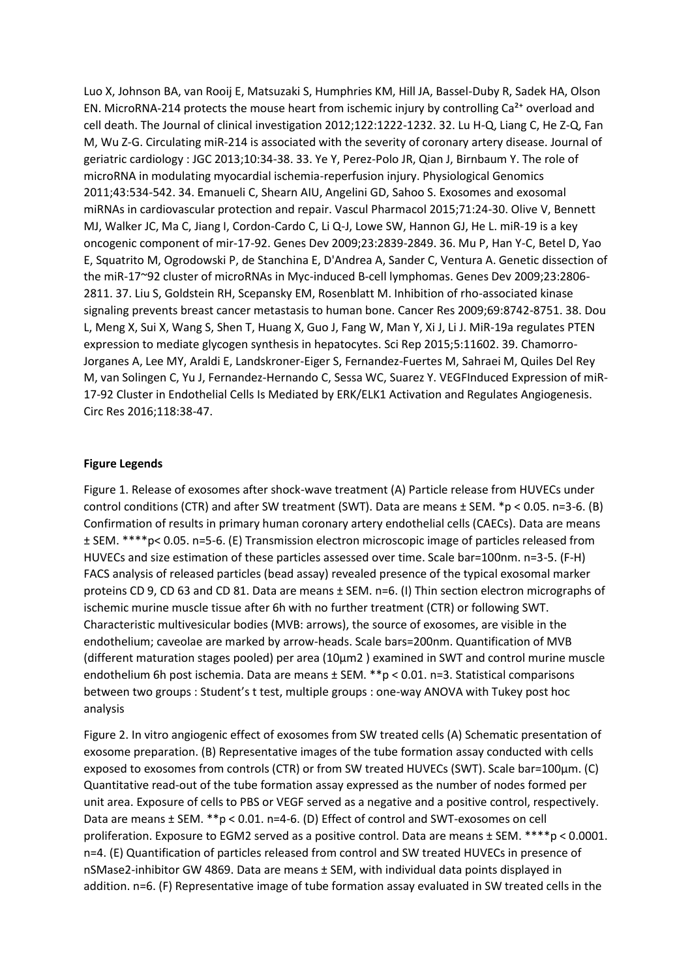Luo X, Johnson BA, van Rooij E, Matsuzaki S, Humphries KM, Hill JA, Bassel-Duby R, Sadek HA, Olson EN. MicroRNA-214 protects the mouse heart from ischemic injury by controlling  $Ca<sup>2+</sup>$  overload and cell death. The Journal of clinical investigation 2012;122:1222-1232. 32. Lu H-Q, Liang C, He Z-Q, Fan M, Wu Z-G. Circulating miR-214 is associated with the severity of coronary artery disease. Journal of geriatric cardiology : JGC 2013;10:34-38. 33. Ye Y, Perez-Polo JR, Qian J, Birnbaum Y. The role of microRNA in modulating myocardial ischemia-reperfusion injury. Physiological Genomics 2011;43:534-542. 34. Emanueli C, Shearn AIU, Angelini GD, Sahoo S. Exosomes and exosomal miRNAs in cardiovascular protection and repair. Vascul Pharmacol 2015;71:24-30. Olive V, Bennett MJ, Walker JC, Ma C, Jiang I, Cordon-Cardo C, Li Q-J, Lowe SW, Hannon GJ, He L. miR-19 is a key oncogenic component of mir-17-92. Genes Dev 2009;23:2839-2849. 36. Mu P, Han Y-C, Betel D, Yao E, Squatrito M, Ogrodowski P, de Stanchina E, D'Andrea A, Sander C, Ventura A. Genetic dissection of the miR-17~92 cluster of microRNAs in Myc-induced B-cell lymphomas. Genes Dev 2009;23:2806- 2811. 37. Liu S, Goldstein RH, Scepansky EM, Rosenblatt M. Inhibition of rho-associated kinase signaling prevents breast cancer metastasis to human bone. Cancer Res 2009;69:8742-8751. 38. Dou L, Meng X, Sui X, Wang S, Shen T, Huang X, Guo J, Fang W, Man Y, Xi J, Li J. MiR-19a regulates PTEN expression to mediate glycogen synthesis in hepatocytes. Sci Rep 2015;5:11602. 39. Chamorro-Jorganes A, Lee MY, Araldi E, Landskroner-Eiger S, Fernandez-Fuertes M, Sahraei M, Quiles Del Rey M, van Solingen C, Yu J, Fernandez-Hernando C, Sessa WC, Suarez Y. VEGFInduced Expression of miR-17-92 Cluster in Endothelial Cells Is Mediated by ERK/ELK1 Activation and Regulates Angiogenesis. Circ Res 2016;118:38-47.

#### **Figure Legends**

Figure 1. Release of exosomes after shock-wave treatment (A) Particle release from HUVECs under control conditions (CTR) and after SW treatment (SWT). Data are means ± SEM. \*p < 0.05. n=3-6. (B) Confirmation of results in primary human coronary artery endothelial cells (CAECs). Data are means ± SEM. \*\*\*\*p< 0.05. n=5-6. (E) Transmission electron microscopic image of particles released from HUVECs and size estimation of these particles assessed over time. Scale bar=100nm. n=3-5. (F-H) FACS analysis of released particles (bead assay) revealed presence of the typical exosomal marker proteins CD 9, CD 63 and CD 81. Data are means ± SEM. n=6. (I) Thin section electron micrographs of ischemic murine muscle tissue after 6h with no further treatment (CTR) or following SWT. Characteristic multivesicular bodies (MVB: arrows), the source of exosomes, are visible in the endothelium; caveolae are marked by arrow-heads. Scale bars=200nm. Quantification of MVB (different maturation stages pooled) per area (10µm2 ) examined in SWT and control murine muscle endothelium 6h post ischemia. Data are means ± SEM. \*\*p < 0.01. n=3. Statistical comparisons between two groups : Student's t test, multiple groups : one-way ANOVA with Tukey post hoc analysis

Figure 2. In vitro angiogenic effect of exosomes from SW treated cells (A) Schematic presentation of exosome preparation. (B) Representative images of the tube formation assay conducted with cells exposed to exosomes from controls (CTR) or from SW treated HUVECs (SWT). Scale bar=100µm. (C) Quantitative read-out of the tube formation assay expressed as the number of nodes formed per unit area. Exposure of cells to PBS or VEGF served as a negative and a positive control, respectively. Data are means ± SEM. \*\*p < 0.01. n=4-6. (D) Effect of control and SWT-exosomes on cell proliferation. Exposure to EGM2 served as a positive control. Data are means ± SEM. \*\*\*\*p < 0.0001. n=4. (E) Quantification of particles released from control and SW treated HUVECs in presence of nSMase2-inhibitor GW 4869. Data are means ± SEM, with individual data points displayed in addition. n=6. (F) Representative image of tube formation assay evaluated in SW treated cells in the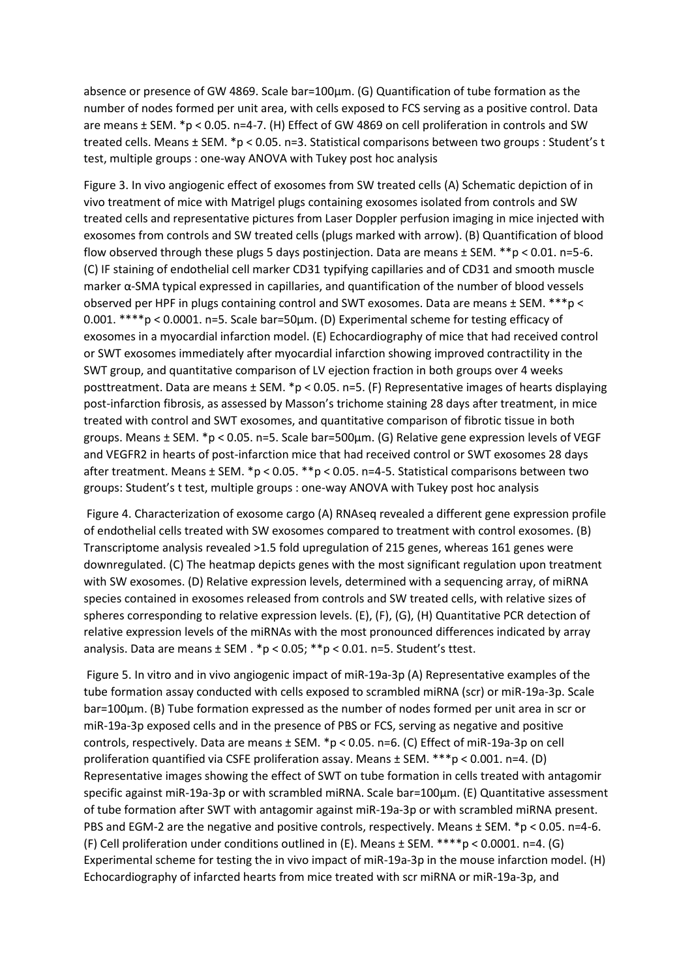absence or presence of GW 4869. Scale bar=100µm. (G) Quantification of tube formation as the number of nodes formed per unit area, with cells exposed to FCS serving as a positive control. Data are means ± SEM. \*p < 0.05. n=4-7. (H) Effect of GW 4869 on cell proliferation in controls and SW treated cells. Means ± SEM. \*p < 0.05. n=3. Statistical comparisons between two groups : Student's t test, multiple groups : one-way ANOVA with Tukey post hoc analysis

Figure 3. In vivo angiogenic effect of exosomes from SW treated cells (A) Schematic depiction of in vivo treatment of mice with Matrigel plugs containing exosomes isolated from controls and SW treated cells and representative pictures from Laser Doppler perfusion imaging in mice injected with exosomes from controls and SW treated cells (plugs marked with arrow). (B) Quantification of blood flow observed through these plugs 5 days postinjection. Data are means ± SEM. \*\*p < 0.01. n=5-6. (C) IF staining of endothelial cell marker CD31 typifying capillaries and of CD31 and smooth muscle marker α-SMA typical expressed in capillaries, and quantification of the number of blood vessels observed per HPF in plugs containing control and SWT exosomes. Data are means ± SEM. \*\*\*p < 0.001. \*\*\*\*p < 0.0001. n=5. Scale bar=50µm. (D) Experimental scheme for testing efficacy of exosomes in a myocardial infarction model. (E) Echocardiography of mice that had received control or SWT exosomes immediately after myocardial infarction showing improved contractility in the SWT group, and quantitative comparison of LV ejection fraction in both groups over 4 weeks posttreatment. Data are means  $\pm$  SEM. \*p < 0.05. n=5. (F) Representative images of hearts displaying post-infarction fibrosis, as assessed by Masson's trichome staining 28 days after treatment, in mice treated with control and SWT exosomes, and quantitative comparison of fibrotic tissue in both groups. Means ± SEM. \*p < 0.05. n=5. Scale bar=500µm. (G) Relative gene expression levels of VEGF and VEGFR2 in hearts of post-infarction mice that had received control or SWT exosomes 28 days after treatment. Means ± SEM. \*p < 0.05. \*\*p < 0.05. n=4-5. Statistical comparisons between two groups: Student's t test, multiple groups : one-way ANOVA with Tukey post hoc analysis

Figure 4. Characterization of exosome cargo (A) RNAseq revealed a different gene expression profile of endothelial cells treated with SW exosomes compared to treatment with control exosomes. (B) Transcriptome analysis revealed >1.5 fold upregulation of 215 genes, whereas 161 genes were downregulated. (C) The heatmap depicts genes with the most significant regulation upon treatment with SW exosomes. (D) Relative expression levels, determined with a sequencing array, of miRNA species contained in exosomes released from controls and SW treated cells, with relative sizes of spheres corresponding to relative expression levels. (E), (F), (G), (H) Quantitative PCR detection of relative expression levels of the miRNAs with the most pronounced differences indicated by array analysis. Data are means ± SEM . \*p < 0.05; \*\*p < 0.01. n=5. Student's ttest.

Figure 5. In vitro and in vivo angiogenic impact of miR-19a-3p (A) Representative examples of the tube formation assay conducted with cells exposed to scrambled miRNA (scr) or miR-19a-3p. Scale bar=100µm. (B) Tube formation expressed as the number of nodes formed per unit area in scr or miR-19a-3p exposed cells and in the presence of PBS or FCS, serving as negative and positive controls, respectively. Data are means ± SEM. \*p < 0.05. n=6. (C) Effect of miR-19a-3p on cell proliferation quantified via CSFE proliferation assay. Means ± SEM. \*\*\*p < 0.001. n=4. (D) Representative images showing the effect of SWT on tube formation in cells treated with antagomir specific against miR-19a-3p or with scrambled miRNA. Scale bar=100µm. (E) Quantitative assessment of tube formation after SWT with antagomir against miR-19a-3p or with scrambled miRNA present. PBS and EGM-2 are the negative and positive controls, respectively. Means ± SEM. \*p < 0.05. n=4-6. (F) Cell proliferation under conditions outlined in (E). Means ± SEM. \*\*\*\*p < 0.0001. n=4. (G) Experimental scheme for testing the in vivo impact of miR-19a-3p in the mouse infarction model. (H) Echocardiography of infarcted hearts from mice treated with scr miRNA or miR-19a-3p, and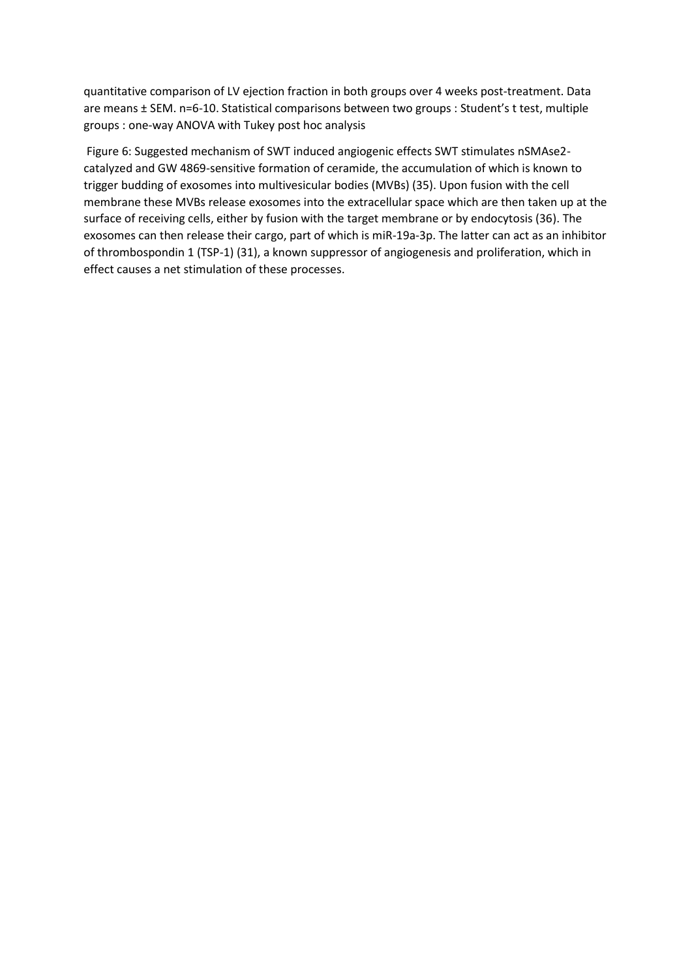quantitative comparison of LV ejection fraction in both groups over 4 weeks post-treatment. Data are means ± SEM. n=6-10. Statistical comparisons between two groups : Student's t test, multiple groups : one-way ANOVA with Tukey post hoc analysis

Figure 6: Suggested mechanism of SWT induced angiogenic effects SWT stimulates nSMAse2 catalyzed and GW 4869-sensitive formation of ceramide, the accumulation of which is known to trigger budding of exosomes into multivesicular bodies (MVBs) (35). Upon fusion with the cell membrane these MVBs release exosomes into the extracellular space which are then taken up at the surface of receiving cells, either by fusion with the target membrane or by endocytosis (36). The exosomes can then release their cargo, part of which is miR-19a-3p. The latter can act as an inhibitor of thrombospondin 1 (TSP-1) (31), a known suppressor of angiogenesis and proliferation, which in effect causes a net stimulation of these processes.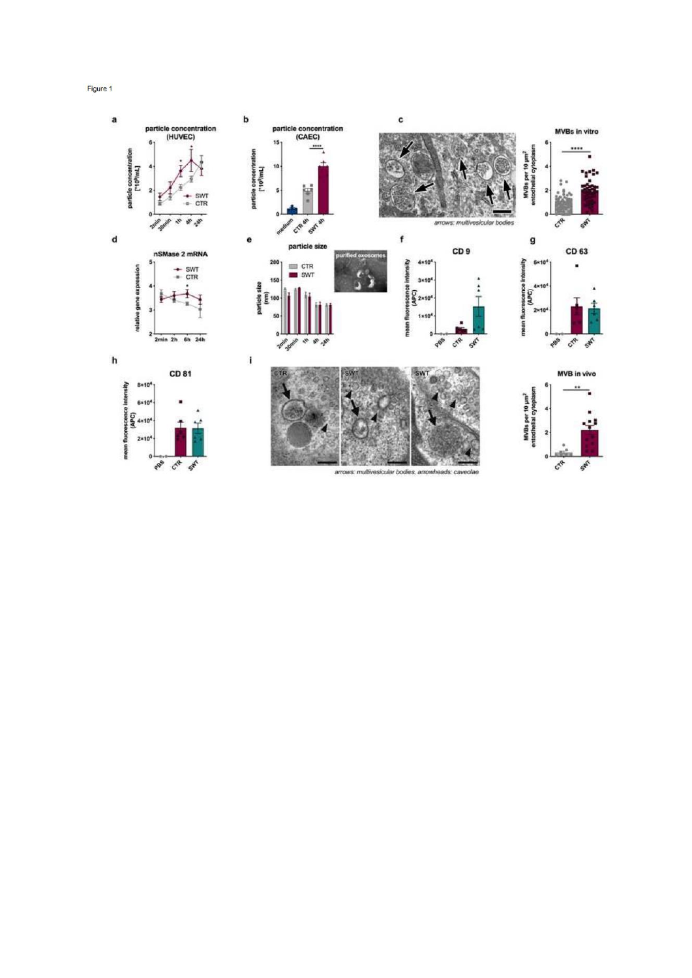Figure 1

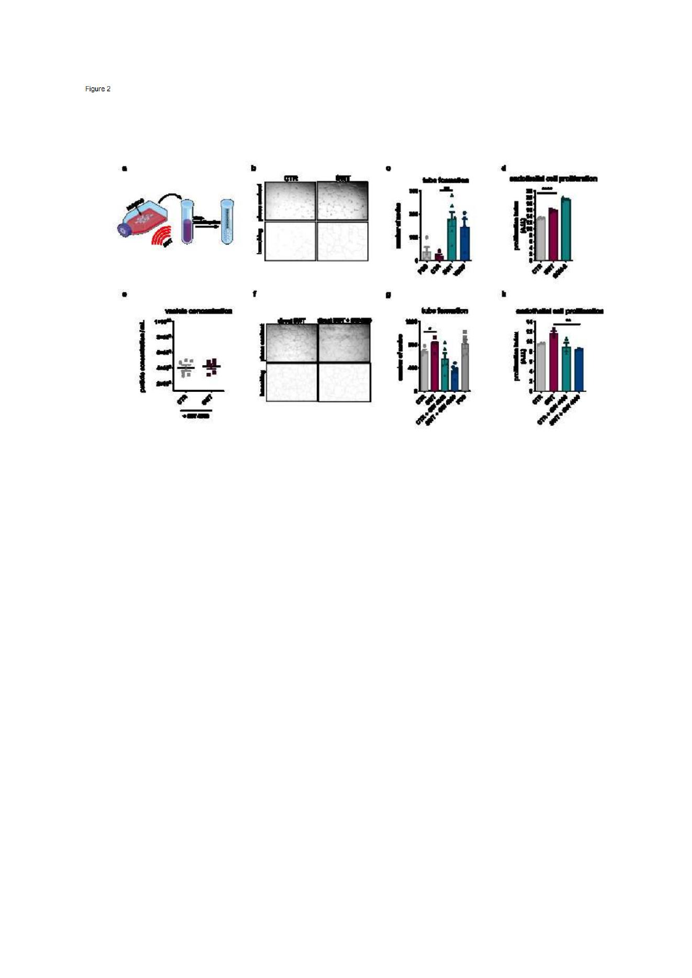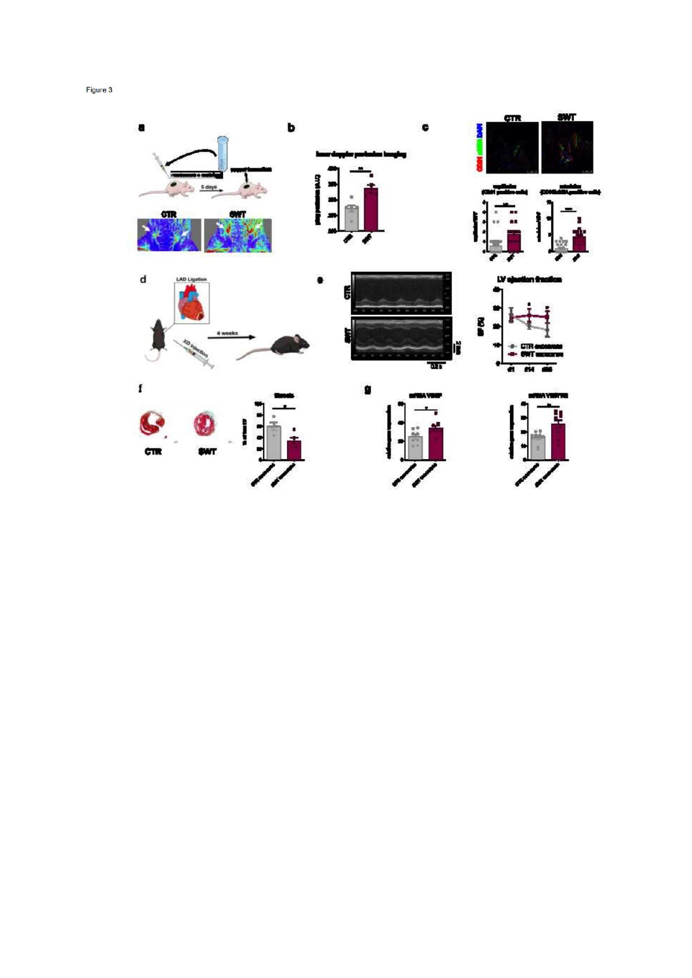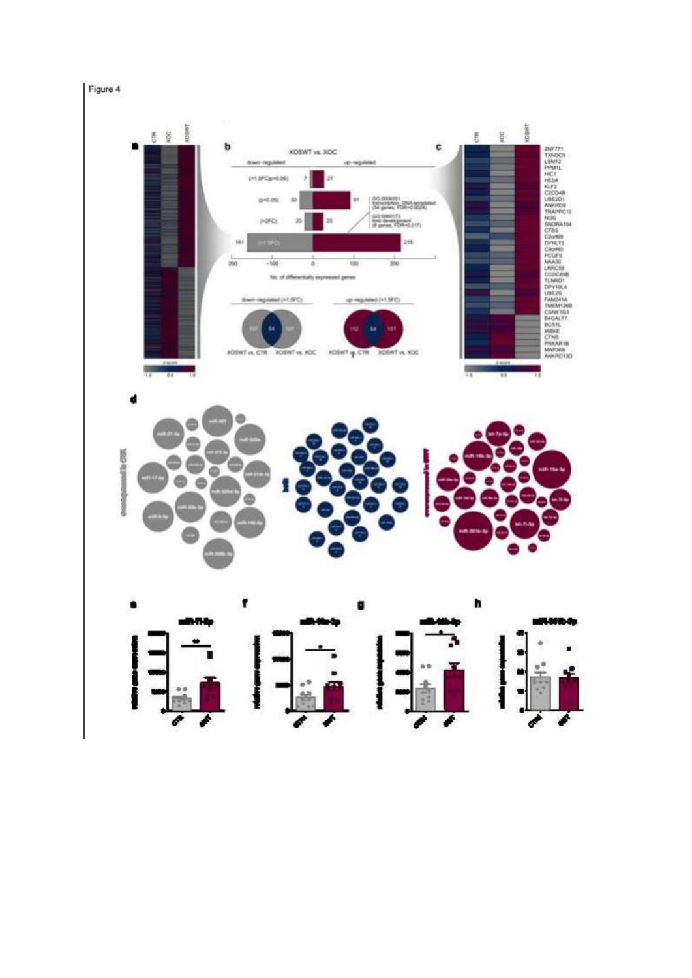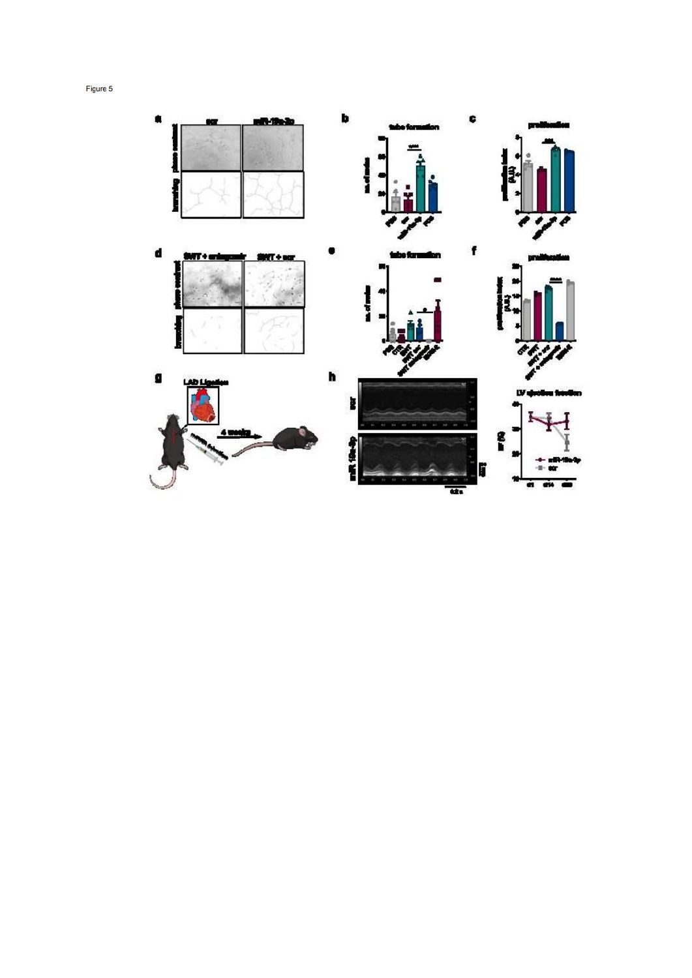Figure 5